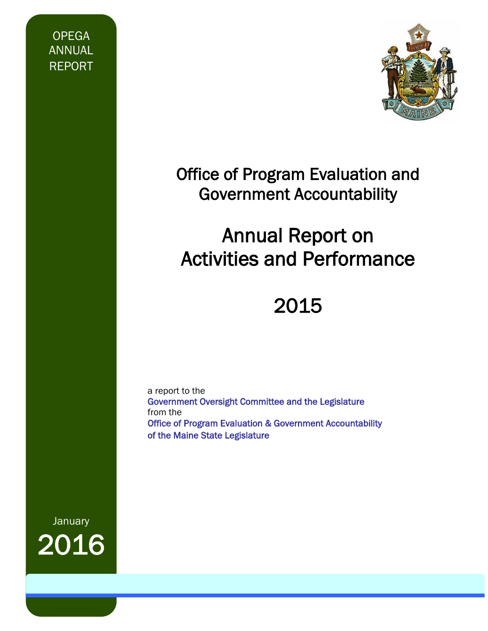OPEGA ANNUAL REPORT



# Office of Program Evaluation and Government Accountability

# Annual Report on Activities and Performance

# 2015

a report to the Government Oversight Committee and the Legislature from the Office of Program Evaluation & Government Accountability of the Maine State Legislature

**January** 2016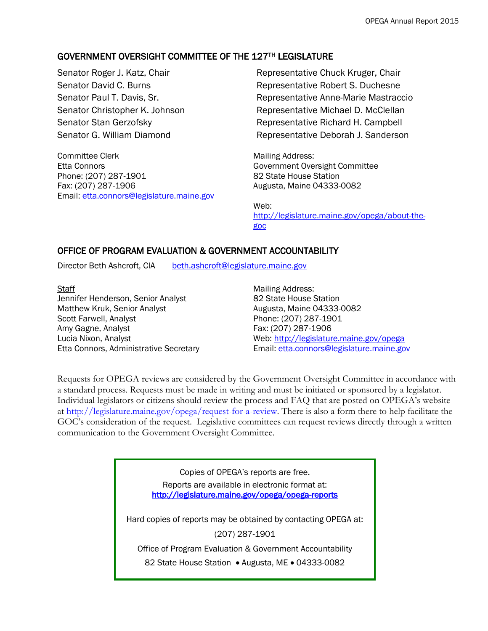#### GOVERNMENT OVERSIGHT COMMITTEE OF THE 127TH LEGISLATURE

Committee Clerk **Mailing Address:** Etta Connors Government Oversight Committee Phone: (207) 287-1901 82 State House Station Fax: (207) 287-1906 Augusta, Maine 04333-0082 Email: etta.connors@legislature.maine.gov

Senator Roger J. Katz, Chair **Representative Chuck Kruger, Chair** Representative Chuck Kruger, Chair Senator David C. Burns **Representative Robert S. Duchesne** Senator Paul T. Davis, Sr. The Mastraccion of Representative Anne-Marie Mastraccio Senator Christopher K. Johnson Representative Michael D. McClellan Senator Stan Gerzofsky **Representative Richard H. Campbell** Senator G. William Diamond Representative Deborah J. Sanderson

Web: [http://legislature.maine.gov/opega/about-the](http://legislature.maine.gov/opega/about-the-goc)[goc](http://legislature.maine.gov/opega/about-the-goc)

#### OFFICE OF PROGRAM EVALUATION & GOVERNMENT ACCOUNTABILITY

Director Beth Ashcroft, CIA [beth.ashcroft@legislature.maine.gov](mailto:beth.ashcroft@legislature.maine.gov)

Staff Mailing Address: Jennifer Henderson, Senior Analyst 82 State House Station Matthew Kruk, Senior Analyst **Augusta, Maine 04333-0082** Scott Farwell, Analyst **Phone: (207)** 287-1901 Amy Gagne, Analyst Fax: (207) 287-1906

Lucia Nixon, Analyst Web:<http://legislature.maine.gov/opega> Etta Connors, Administrative Secretary **Email:** etta.connors@legislature.maine.gov

Requests for OPEGA reviews are considered by the Government Oversight Committee in accordance with a standard process. Requests must be made in writing and must be initiated or sponsored by a legislator. Individual legislators or citizens should review the process and FAQ that are posted on OPEGA's website at [http://legislature.maine.gov/opega/request-for-a-review.](http://legislature.maine.gov/opega/request-for-a-review) There is also a form there to help facilitate the GOC's consideration of the request. Legislative committees can request reviews directly through a written communication to the Government Oversight Committee.

> Copies of OPEGA's reports are free. Reports are available in electronic format at: <http://legislature.maine.gov/opega/opega-reports> Hard copies of reports may be obtained by contacting OPEGA at: (207) 287-1901 Office of Program Evaluation & Government Accountability 82 State House Station . Augusta, ME . 04333-0082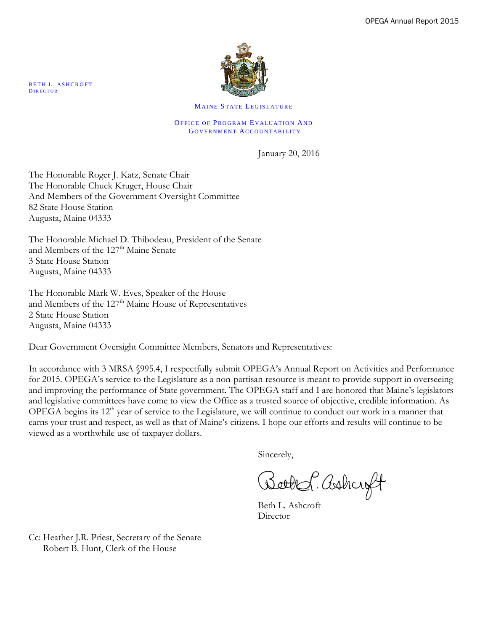

MAINE STATE LEGISLATURE

OFFICE OF PROGRAM EVALUATION AND GOVERNMENT ACCOUNTABILITY

January 20, 2016

The Honorable Roger J. Katz, Senate Chair The Honorable Chuck Kruger, House Chair And Members of the Government Oversight Committee 82 State House Station Augusta, Maine 04333

The Honorable Michael D. Thibodeau, President of the Senate and Members of the 127<sup>th</sup> Maine Senate 3 State House Station Augusta, Maine 04333

The Honorable Mark W. Eves, Speaker of the House and Members of the 127<sup>th</sup> Maine House of Representatives 2 State House Station Augusta, Maine 04333

Dear Government Oversight Committee Members, Senators and Representatives:

In accordance with 3 MRSA §995.4, I respectfully submit OPEGA's Annual Report on Activities and Performance for 2015. OPEGA's service to the Legislature as a non-partisan resource is meant to provide support in overseeing and improving the performance of State government. The OPEGA staff and I are honored that Maine's legislators and legislative committees have come to view the Office as a trusted source of objective, credible information. As OPEGA begins its  $12<sup>th</sup>$  year of service to the Legislature, we will continue to conduct our work in a manner that earns your trust and respect, as well as that of Maine's citizens. I hope our efforts and results will continue to be viewed as a worthwhile use of taxpayer dollars.

Sincerely,

Book ashagt

Beth L. Ashcroft **Director** 

BETH L. ASHCROFT DIRECTOR

Cc: Heather J.R. Priest, Secretary of the Senate Robert B. Hunt, Clerk of the House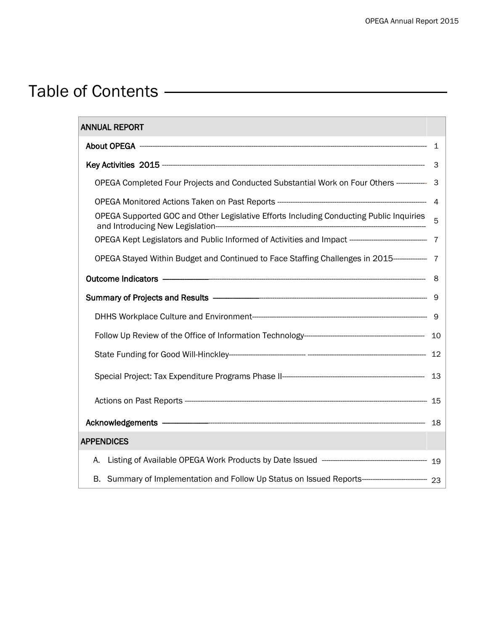# Table of Contents —————

| <b>ANNUAL REPORT</b>                                                                                           |  |
|----------------------------------------------------------------------------------------------------------------|--|
|                                                                                                                |  |
|                                                                                                                |  |
| OPEGA Completed Four Projects and Conducted Substantial Work on Four Others ------------ 3                     |  |
|                                                                                                                |  |
| OPEGA Supported GOC and Other Legislative Efforts Including Conducting Public Inquiries 5                      |  |
|                                                                                                                |  |
| OPEGA Stayed Within Budget and Continued to Face Staffing Challenges in 2015---------------- 7                 |  |
|                                                                                                                |  |
| Summary of Projects and Results - Committee Committee of the Summary of Projects and Results - Committee Commi |  |
|                                                                                                                |  |
|                                                                                                                |  |
|                                                                                                                |  |
|                                                                                                                |  |
|                                                                                                                |  |
| Acknowledgements - 28                                                                                          |  |
| <b>APPENDICES</b>                                                                                              |  |
| А.                                                                                                             |  |
|                                                                                                                |  |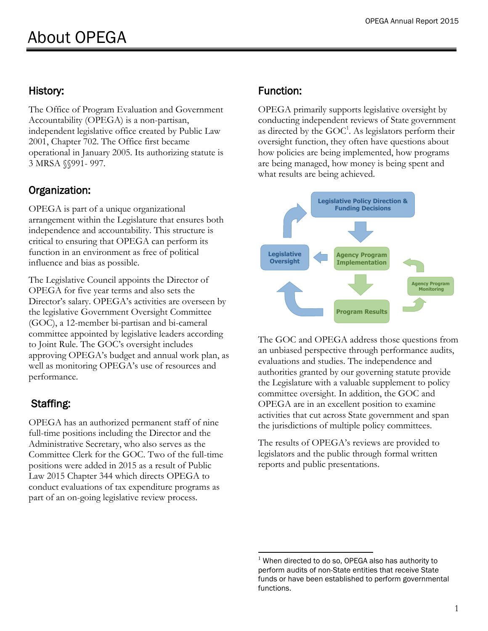### History:

The Office of Program Evaluation and Government Accountability (OPEGA) is a non-partisan, independent legislative office created by Public Law 2001, Chapter 702. The Office first became operational in January 2005. Its authorizing statute is 3 MRSA §§991- 997.

# Organization:

OPEGA is part of a unique organizational arrangement within the Legislature that ensures both independence and accountability. This structure is critical to ensuring that OPEGA can perform its function in an environment as free of political influence and bias as possible.

The Legislative Council appoints the Director of OPEGA for five year terms and also sets the Director's salary. OPEGA's activities are overseen by the legislative Government Oversight Committee (GOC), a 12-member bi-partisan and bi-cameral committee appointed by legislative leaders according to Joint Rule. The GOC's oversight includes approving OPEGA's budget and annual work plan, as well as monitoring OPEGA's use of resources and performance.

# Staffing:

OPEGA has an authorized permanent staff of nine full-time positions including the Director and the Administrative Secretary, who also serves as the Committee Clerk for the GOC. Two of the full-time positions were added in 2015 as a result of Public Law 2015 Chapter 344 which directs OPEGA to conduct evaluations of tax expenditure programs as part of an on-going legislative review process.

# Function:

OPEGA primarily supports legislative oversight by conducting independent reviews of State government as directed by the  $\text{GOC}^1$ . As legislators perform their oversight function, they often have questions about how policies are being implemented, how programs are being managed, how money is being spent and what results are being achieved.



The GOC and OPEGA address those questions from an unbiased perspective through performance audits, evaluations and studies. The independence and authorities granted by our governing statute provide the Legislature with a valuable supplement to policy committee oversight. In addition, the GOC and OPEGA are in an excellent position to examine activities that cut across State government and span the jurisdictions of multiple policy committees.

The results of OPEGA's reviews are provided to legislators and the public through formal written reports and public presentations.

 $\overline{a}$  $1$  When directed to do so, OPEGA also has authority to perform audits of non-State entities that receive State funds or have been established to perform governmental functions.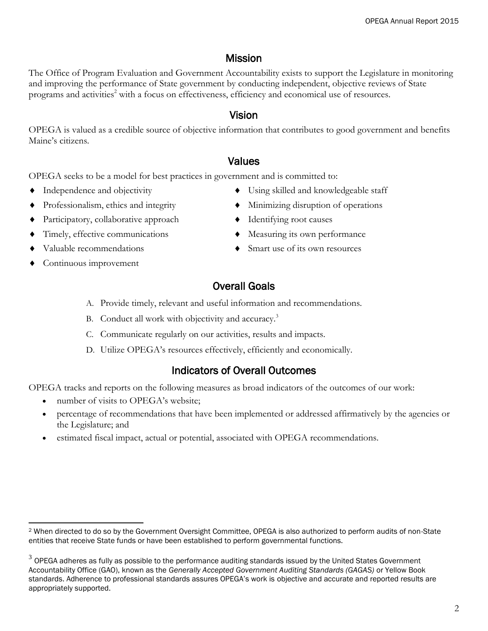# Mission

The Office of Program Evaluation and Government Accountability exists to support the Legislature in monitoring and improving the performance of State government by conducting independent, objective reviews of State programs and activities<sup>2</sup> with a focus on effectiveness, efficiency and economical use of resources.

### Vision

OPEGA is valued as a credible source of objective information that contributes to good government and benefits Maine's citizens.

### Values

OPEGA seeks to be a model for best practices in government and is committed to:

- 
- 
- Participatory, collaborative approach  $\bullet$  Identifying root causes
- 
- 
- Continuous improvement
- Independence and objectivity  $\bullet$  Using skilled and knowledgeable staff
- Professionalism, ethics and integrity  $\longrightarrow$  Minimizing disruption of operations
	-
- Timely, effective communications  $\bullet$  Measuring its own performance
- Valuable recommendations  $\bullet$  Smart use of its own resources

# Overall Goals

- A. Provide timely, relevant and useful information and recommendations.
- B. Conduct all work with objectivity and accuracy.<sup>3</sup>
- C. Communicate regularly on our activities, results and impacts.
- D. Utilize OPEGA's resources effectively, efficiently and economically.

## Indicators of Overall Outcomes

OPEGA tracks and reports on the following measures as broad indicators of the outcomes of our work:

- number of visits to OPEGA's website:
- percentage of recommendations that have been implemented or addressed affirmatively by the agencies or the Legislature; and
- estimated fiscal impact, actual or potential, associated with OPEGA recommendations.

 $\overline{a}$ <sup>2</sup> When directed to do so by the Government Oversight Committee, OPEGA is also authorized to perform audits of non-State entities that receive State funds or have been established to perform governmental functions.

 $^3$  OPEGA adheres as fully as possible to the performance auditing standards issued by the United States Government Accountability Office (GAO), known as the *Generally Accepted Government Auditing Standards (GAGAS)* or Yellow Book standards. Adherence to professional standards assures OPEGA's work is objective and accurate and reported results are appropriately supported.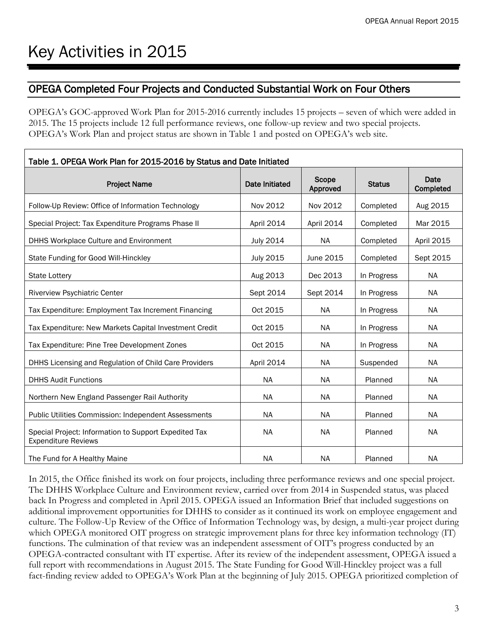### OPEGA Completed Four Projects and Conducted Substantial Work on Four Others

OPEGA's GOC-approved Work Plan for 2015-2016 currently includes 15 projects – seven of which were added in 2015. The 15 projects include 12 full performance reviews, one follow-up review and two special projects. OPEGA's Work Plan and project status are shown in Table 1 and posted on OPEGA's web site.

| Table 1. OPEGA Work Plan for 2015-2016 by Status and Date Initiated                 |                       |                   |               |                   |
|-------------------------------------------------------------------------------------|-----------------------|-------------------|---------------|-------------------|
| <b>Project Name</b>                                                                 | <b>Date Initiated</b> | Scope<br>Approved | <b>Status</b> | Date<br>Completed |
| Follow-Up Review: Office of Information Technology                                  | Nov 2012              | Nov 2012          | Completed     | Aug 2015          |
| Special Project: Tax Expenditure Programs Phase II                                  | April 2014            | April 2014        | Completed     | Mar 2015          |
| DHHS Workplace Culture and Environment                                              | <b>July 2014</b>      | <b>NA</b>         | Completed     | April 2015        |
| State Funding for Good Will-Hinckley                                                | <b>July 2015</b>      | June 2015         | Completed     | Sept 2015         |
| <b>State Lottery</b>                                                                | Aug 2013              | Dec 2013          | In Progress   | <b>NA</b>         |
| Riverview Psychiatric Center                                                        | Sept 2014             | Sept 2014         | In Progress   | <b>NA</b>         |
| Tax Expenditure: Employment Tax Increment Financing                                 | Oct 2015              | <b>NA</b>         | In Progress   | <b>NA</b>         |
| Tax Expenditure: New Markets Capital Investment Credit                              | Oct 2015              | <b>NA</b>         | In Progress   | <b>NA</b>         |
| Tax Expenditure: Pine Tree Development Zones                                        | Oct 2015              | <b>NA</b>         | In Progress   | <b>NA</b>         |
| DHHS Licensing and Regulation of Child Care Providers                               | April 2014            | <b>NA</b>         | Suspended     | <b>NA</b>         |
| <b>DHHS Audit Functions</b>                                                         | <b>NA</b>             | <b>NA</b>         | Planned       | <b>NA</b>         |
| Northern New England Passenger Rail Authority                                       | <b>NA</b>             | <b>NA</b>         | Planned       | <b>NA</b>         |
| Public Utilities Commission: Independent Assessments                                | <b>NA</b>             | <b>NA</b>         | Planned       | <b>NA</b>         |
| Special Project: Information to Support Expedited Tax<br><b>Expenditure Reviews</b> | <b>NA</b>             | <b>NA</b>         | Planned       | <b>NA</b>         |
| The Fund for A Healthy Maine                                                        | <b>NA</b>             | <b>NA</b>         | Planned       | <b>NA</b>         |

In 2015, the Office finished its work on four projects, including three performance reviews and one special project. The DHHS Workplace Culture and Environment review, carried over from 2014 in Suspended status, was placed back In Progress and completed in April 2015. OPEGA issued an Information Brief that included suggestions on additional improvement opportunities for DHHS to consider as it continued its work on employee engagement and culture. The Follow-Up Review of the Office of Information Technology was, by design, a multi-year project during which OPEGA monitored OIT progress on strategic improvement plans for three key information technology (IT) functions. The culmination of that review was an independent assessment of OIT's progress conducted by an OPEGA-contracted consultant with IT expertise. After its review of the independent assessment, OPEGA issued a full report with recommendations in August 2015. The State Funding for Good Will-Hinckley project was a full fact-finding review added to OPEGA's Work Plan at the beginning of July 2015. OPEGA prioritized completion of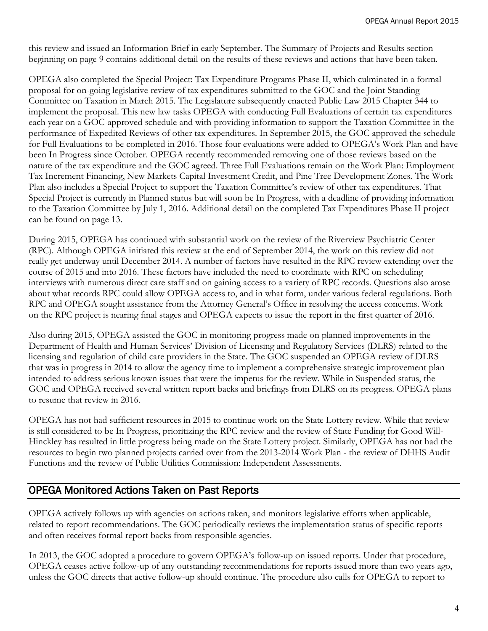this review and issued an Information Brief in early September. The Summary of Projects and Results section beginning on page 9 contains additional detail on the results of these reviews and actions that have been taken.

OPEGA also completed the Special Project: Tax Expenditure Programs Phase II, which culminated in a formal proposal for on-going legislative review of tax expenditures submitted to the GOC and the Joint Standing Committee on Taxation in March 2015. The Legislature subsequently enacted Public Law 2015 Chapter 344 to implement the proposal. This new law tasks OPEGA with conducting Full Evaluations of certain tax expenditures each year on a GOC-approved schedule and with providing information to support the Taxation Committee in the performance of Expedited Reviews of other tax expenditures. In September 2015, the GOC approved the schedule for Full Evaluations to be completed in 2016. Those four evaluations were added to OPEGA's Work Plan and have been In Progress since October. OPEGA recently recommended removing one of those reviews based on the nature of the tax expenditure and the GOC agreed. Three Full Evaluations remain on the Work Plan: Employment Tax Increment Financing, New Markets Capital Investment Credit, and Pine Tree Development Zones. The Work Plan also includes a Special Project to support the Taxation Committee's review of other tax expenditures. That Special Project is currently in Planned status but will soon be In Progress, with a deadline of providing information to the Taxation Committee by July 1, 2016. Additional detail on the completed Tax Expenditures Phase II project can be found on page 13.

During 2015, OPEGA has continued with substantial work on the review of the Riverview Psychiatric Center (RPC). Although OPEGA initiated this review at the end of September 2014, the work on this review did not really get underway until December 2014. A number of factors have resulted in the RPC review extending over the course of 2015 and into 2016. These factors have included the need to coordinate with RPC on scheduling interviews with numerous direct care staff and on gaining access to a variety of RPC records. Questions also arose about what records RPC could allow OPEGA access to, and in what form, under various federal regulations. Both RPC and OPEGA sought assistance from the Attorney General's Office in resolving the access concerns. Work on the RPC project is nearing final stages and OPEGA expects to issue the report in the first quarter of 2016.

Also during 2015, OPEGA assisted the GOC in monitoring progress made on planned improvements in the Department of Health and Human Services' Division of Licensing and Regulatory Services (DLRS) related to the licensing and regulation of child care providers in the State. The GOC suspended an OPEGA review of DLRS that was in progress in 2014 to allow the agency time to implement a comprehensive strategic improvement plan intended to address serious known issues that were the impetus for the review. While in Suspended status, the GOC and OPEGA received several written report backs and briefings from DLRS on its progress. OPEGA plans to resume that review in 2016.

OPEGA has not had sufficient resources in 2015 to continue work on the State Lottery review. While that review is still considered to be In Progress, prioritizing the RPC review and the review of State Funding for Good Will-Hinckley has resulted in little progress being made on the State Lottery project. Similarly, OPEGA has not had the resources to begin two planned projects carried over from the 2013-2014 Work Plan - the review of DHHS Audit Functions and the review of Public Utilities Commission: Independent Assessments.

#### OPEGA Monitored Actions Taken on Past Reports

OPEGA actively follows up with agencies on actions taken, and monitors legislative efforts when applicable, related to report recommendations. The GOC periodically reviews the implementation status of specific reports and often receives formal report backs from responsible agencies.

In 2013, the GOC adopted a procedure to govern OPEGA's follow-up on issued reports. Under that procedure, OPEGA ceases active follow-up of any outstanding recommendations for reports issued more than two years ago, unless the GOC directs that active follow-up should continue. The procedure also calls for OPEGA to report to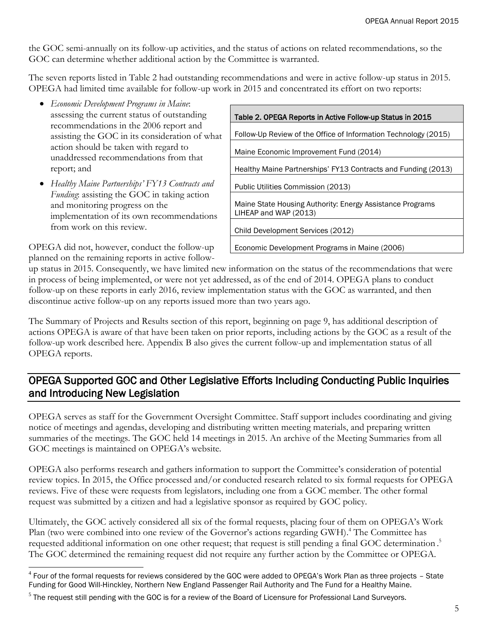the GOC semi-annually on its follow-up activities, and the status of actions on related recommendations, so the GOC can determine whether additional action by the Committee is warranted.

The seven reports listed in Table 2 had outstanding recommendations and were in active follow-up status in 2015. OPEGA had limited time available for follow-up work in 2015 and concentrated its effort on two reports:

- *Economic Development Programs in Maine*: assessing the current status of outstanding recommendations in the 2006 report and assisting the GOC in its consideration of what action should be taken with regard to unaddressed recommendations from that report; and
- *Healthy Maine Partnerships' FY13 Contracts and Funding*: assisting the GOC in taking action and monitoring progress on the implementation of its own recommendations from work on this review.

Table 2. OPEGA Reports in Active Follow-up Status in 2015 Follow-Up Review of the Office of Information Technology (2015) Maine Economic Improvement Fund (2014) Healthy Maine Partnerships' FY13 Contracts and Funding (2013) Public Utilities Commission (2013) Maine State Housing Authority: Energy Assistance Programs LIHEAP and WAP (2013) Child Development Services (2012) Economic Development Programs in Maine (2006)

OPEGA did not, however, conduct the follow-up planned on the remaining reports in active follow-

up status in 2015. Consequently, we have limited new information on the status of the recommendations that were in process of being implemented, or were not yet addressed, as of the end of 2014. OPEGA plans to conduct follow-up on these reports in early 2016, review implementation status with the GOC as warranted, and then discontinue active follow-up on any reports issued more than two years ago.

The Summary of Projects and Results section of this report, beginning on page 9, has additional description of actions OPEGA is aware of that have been taken on prior reports, including actions by the GOC as a result of the follow-up work described here. Appendix B also gives the current follow-up and implementation status of all OPEGA reports.

## OPEGA Supported GOC and Other Legislative Efforts Including Conducting Public Inquiries and Introducing New Legislation

OPEGA serves as staff for the Government Oversight Committee. Staff support includes coordinating and giving notice of meetings and agendas, developing and distributing written meeting materials, and preparing written summaries of the meetings. The GOC held 14 meetings in 2015. An archive of the Meeting Summaries from all GOC meetings is maintained on OPEGA's website.

OPEGA also performs research and gathers information to support the Committee's consideration of potential review topics. In 2015, the Office processed and/or conducted research related to six formal requests for OPEGA reviews. Five of these were requests from legislators, including one from a GOC member. The other formal request was submitted by a citizen and had a legislative sponsor as required by GOC policy.

Ultimately, the GOC actively considered all six of the formal requests, placing four of them on OPEGA's Work Plan (two were combined into one review of the Governor's actions regarding GWH).<sup>4</sup> The Committee has requested additional information on one other request; that request is still pending a final GOC determination.<sup>5</sup> The GOC determined the remaining request did not require any further action by the Committee or OPEGA.

 4 Four of the formal requests for reviews considered by the GOC were added to OPEGA's Work Plan as three projects – State Funding for Good Will-Hinckley, Northern New England Passenger Rail Authority and The Fund for a Healthy Maine.

<sup>&</sup>lt;sup>5</sup> The request still pending with the GOC is for a review of the Board of Licensure for Professional Land Surveyors.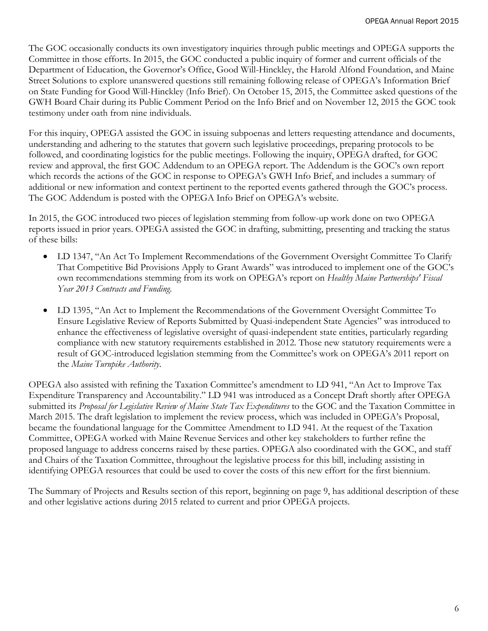The GOC occasionally conducts its own investigatory inquiries through public meetings and OPEGA supports the Committee in those efforts. In 2015, the GOC conducted a public inquiry of former and current officials of the Department of Education, the Governor's Office, Good Will-Hinckley, the Harold Alfond Foundation, and Maine Street Solutions to explore unanswered questions still remaining following release of OPEGA's Information Brief on State Funding for Good Will-Hinckley (Info Brief). On October 15, 2015, the Committee asked questions of the GWH Board Chair during its Public Comment Period on the Info Brief and on November 12, 2015 the GOC took testimony under oath from nine individuals.

For this inquiry, OPEGA assisted the GOC in issuing subpoenas and letters requesting attendance and documents, understanding and adhering to the statutes that govern such legislative proceedings, preparing protocols to be followed, and coordinating logistics for the public meetings. Following the inquiry, OPEGA drafted, for GOC review and approval, the first GOC Addendum to an OPEGA report. The Addendum is the GOC's own report which records the actions of the GOC in response to OPEGA's GWH Info Brief, and includes a summary of additional or new information and context pertinent to the reported events gathered through the GOC's process. The GOC Addendum is posted with the OPEGA Info Brief on OPEGA's website.

In 2015, the GOC introduced two pieces of legislation stemming from follow-up work done on two OPEGA reports issued in prior years. OPEGA assisted the GOC in drafting, submitting, presenting and tracking the status of these bills:

- LD 1347, "An Act To Implement Recommendations of the Government Oversight Committee To Clarify That Competitive Bid Provisions Apply to Grant Awards" was introduced to implement one of the GOC's own recommendations stemming from its work on OPEGA's report on *Healthy Maine Partnerships' Fiscal Year 2013 Contracts and Funding*.
- LD 1395, "An Act to Implement the Recommendations of the Government Oversight Committee To Ensure Legislative Review of Reports Submitted by Quasi-independent State Agencies" was introduced to enhance the effectiveness of legislative oversight of quasi-independent state entities, particularly regarding compliance with new statutory requirements established in 2012. Those new statutory requirements were a result of GOC-introduced legislation stemming from the Committee's work on OPEGA's 2011 report on the *Maine Turnpike Authority*.

OPEGA also assisted with refining the Taxation Committee's amendment to LD 941, "An Act to Improve Tax Expenditure Transparency and Accountability." LD 941 was introduced as a Concept Draft shortly after OPEGA submitted its *Proposal for Legislative Review of Maine State Tax Expenditures* to the GOC and the Taxation Committee in March 2015. The draft legislation to implement the review process, which was included in OPEGA's Proposal, became the foundational language for the Committee Amendment to LD 941. At the request of the Taxation Committee, OPEGA worked with Maine Revenue Services and other key stakeholders to further refine the proposed language to address concerns raised by these parties. OPEGA also coordinated with the GOC, and staff and Chairs of the Taxation Committee, throughout the legislative process for this bill, including assisting in identifying OPEGA resources that could be used to cover the costs of this new effort for the first biennium.

The Summary of Projects and Results section of this report, beginning on page 9, has additional description of these and other legislative actions during 2015 related to current and prior OPEGA projects.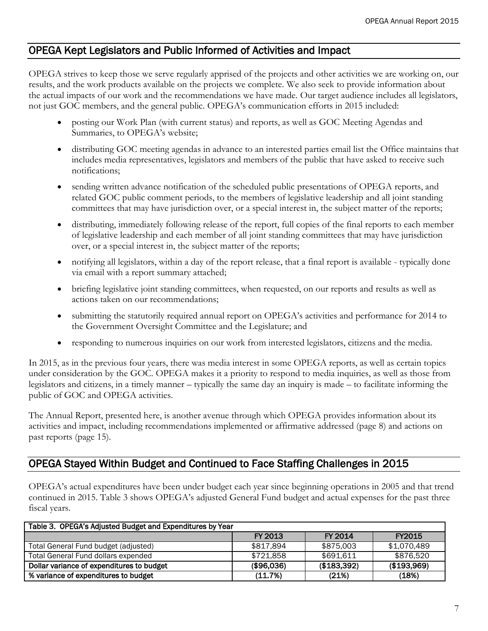#### OPEGA Kept Legislators and Public Informed of Activities and Impact

OPEGA strives to keep those we serve regularly apprised of the projects and other activities we are working on, our results, and the work products available on the projects we complete. We also seek to provide information about the actual impacts of our work and the recommendations we have made. Our target audience includes all legislators, not just GOC members, and the general public. OPEGA's communication efforts in 2015 included:

- posting our Work Plan (with current status) and reports, as well as GOC Meeting Agendas and Summaries, to OPEGA's website;
- distributing GOC meeting agendas in advance to an interested parties email list the Office maintains that includes media representatives, legislators and members of the public that have asked to receive such notifications;
- sending written advance notification of the scheduled public presentations of OPEGA reports, and related GOC public comment periods, to the members of legislative leadership and all joint standing committees that may have jurisdiction over, or a special interest in, the subject matter of the reports;
- distributing, immediately following release of the report, full copies of the final reports to each member of legislative leadership and each member of all joint standing committees that may have jurisdiction over, or a special interest in, the subject matter of the reports;
- notifying all legislators, within a day of the report release, that a final report is available typically done via email with a report summary attached;
- briefing legislative joint standing committees, when requested, on our reports and results as well as actions taken on our recommendations;
- submitting the statutorily required annual report on OPEGA's activities and performance for 2014 to the Government Oversight Committee and the Legislature; and
- responding to numerous inquiries on our work from interested legislators, citizens and the media.

In 2015, as in the previous four years, there was media interest in some OPEGA reports, as well as certain topics under consideration by the GOC. OPEGA makes it a priority to respond to media inquiries, as well as those from legislators and citizens, in a timely manner – typically the same day an inquiry is made – to facilitate informing the public of GOC and OPEGA activities.

The Annual Report, presented here, is another avenue through which OPEGA provides information about its activities and impact, including recommendations implemented or affirmative addressed (page 8) and actions on past reports (page 15).

#### OPEGA Stayed Within Budget and Continued to Face Staffing Challenges in 2015

OPEGA's actual expenditures have been under budget each year since beginning operations in 2005 and that trend continued in 2015. Table 3 shows OPEGA's adjusted General Fund budget and actual expenses for the past three fiscal years.

| Table 3. OPEGA's Adjusted Budget and Expenditures by Year |            |             |               |  |
|-----------------------------------------------------------|------------|-------------|---------------|--|
|                                                           | FY 2013    | FY 2014     | <b>FY2015</b> |  |
| Total General Fund budget (adjusted)                      | \$817.894  | \$875,003   | \$1.070.489   |  |
| Total General Fund dollars expended                       | \$721.858  | \$691.611   | \$876.520     |  |
| Dollar variance of expenditures to budget                 | (\$96,036) | (\$183,392) | (\$193,969)   |  |
| % variance of expenditures to budget                      | (11.7%)    | (21%)       | (18%)         |  |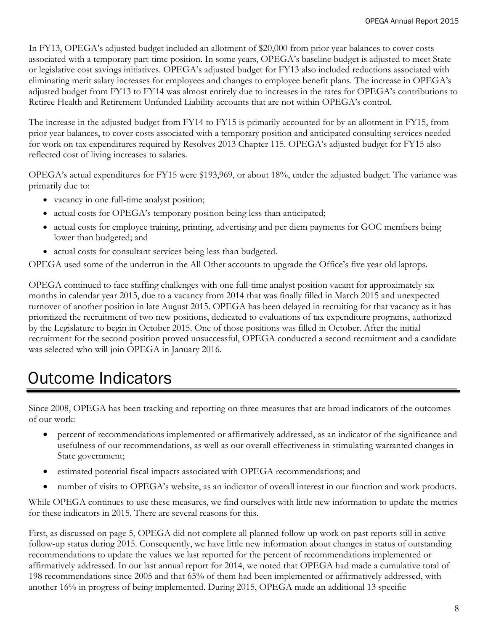In FY13, OPEGA's adjusted budget included an allotment of \$20,000 from prior year balances to cover costs associated with a temporary part-time position. In some years, OPEGA's baseline budget is adjusted to meet State or legislative cost savings initiatives. OPEGA's adjusted budget for FY13 also included reductions associated with eliminating merit salary increases for employees and changes to employee benefit plans. The increase in OPEGA's adjusted budget from FY13 to FY14 was almost entirely due to increases in the rates for OPEGA's contributions to Retiree Health and Retirement Unfunded Liability accounts that are not within OPEGA's control.

The increase in the adjusted budget from FY14 to FY15 is primarily accounted for by an allotment in FY15, from prior year balances, to cover costs associated with a temporary position and anticipated consulting services needed for work on tax expenditures required by Resolves 2013 Chapter 115. OPEGA's adjusted budget for FY15 also reflected cost of living increases to salaries.

OPEGA's actual expenditures for FY15 were \$193,969, or about 18%, under the adjusted budget. The variance was primarily due to:

- vacancy in one full-time analyst position;
- actual costs for OPEGA's temporary position being less than anticipated;
- actual costs for employee training, printing, advertising and per diem payments for GOC members being lower than budgeted; and
- actual costs for consultant services being less than budgeted.

OPEGA used some of the underrun in the All Other accounts to upgrade the Office's five year old laptops.

OPEGA continued to face staffing challenges with one full-time analyst position vacant for approximately six months in calendar year 2015, due to a vacancy from 2014 that was finally filled in March 2015 and unexpected turnover of another position in late August 2015. OPEGA has been delayed in recruiting for that vacancy as it has prioritized the recruitment of two new positions, dedicated to evaluations of tax expenditure programs, authorized by the Legislature to begin in October 2015. One of those positions was filled in October. After the initial recruitment for the second position proved unsuccessful, OPEGA conducted a second recruitment and a candidate was selected who will join OPEGA in January 2016.

# Outcome Indicators

Since 2008, OPEGA has been tracking and reporting on three measures that are broad indicators of the outcomes of our work:

- percent of recommendations implemented or affirmatively addressed, as an indicator of the significance and usefulness of our recommendations, as well as our overall effectiveness in stimulating warranted changes in State government;
- estimated potential fiscal impacts associated with OPEGA recommendations; and
- number of visits to OPEGA's website, as an indicator of overall interest in our function and work products.

While OPEGA continues to use these measures, we find ourselves with little new information to update the metrics for these indicators in 2015. There are several reasons for this.

First, as discussed on page 5, OPEGA did not complete all planned follow-up work on past reports still in active follow-up status during 2015. Consequently, we have little new information about changes in status of outstanding recommendations to update the values we last reported for the percent of recommendations implemented or affirmatively addressed. In our last annual report for 2014, we noted that OPEGA had made a cumulative total of 198 recommendations since 2005 and that 65% of them had been implemented or affirmatively addressed, with another 16% in progress of being implemented. During 2015, OPEGA made an additional 13 specific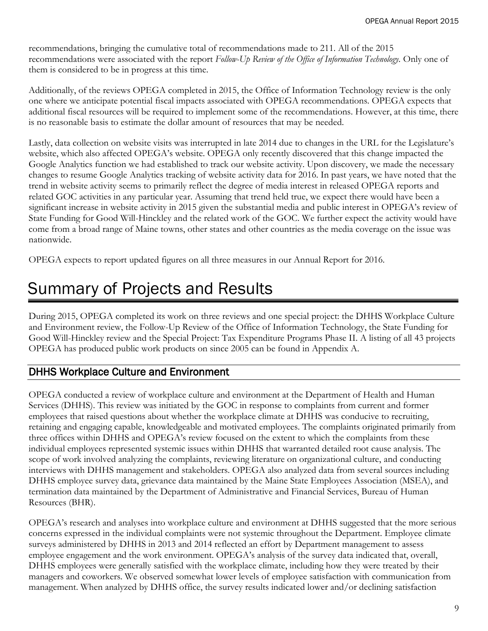recommendations, bringing the cumulative total of recommendations made to 211. All of the 2015 recommendations were associated with the report *Follow-Up Review of the Office of Information Technology.* Only one of them is considered to be in progress at this time.

Additionally, of the reviews OPEGA completed in 2015, the Office of Information Technology review is the only one where we anticipate potential fiscal impacts associated with OPEGA recommendations. OPEGA expects that additional fiscal resources will be required to implement some of the recommendations. However, at this time, there is no reasonable basis to estimate the dollar amount of resources that may be needed.

Lastly, data collection on website visits was interrupted in late 2014 due to changes in the URL for the Legislature's website, which also affected OPEGA's website. OPEGA only recently discovered that this change impacted the Google Analytics function we had established to track our website activity. Upon discovery, we made the necessary changes to resume Google Analytics tracking of website activity data for 2016. In past years, we have noted that the trend in website activity seems to primarily reflect the degree of media interest in released OPEGA reports and related GOC activities in any particular year. Assuming that trend held true, we expect there would have been a significant increase in website activity in 2015 given the substantial media and public interest in OPEGA's review of State Funding for Good Will-Hinckley and the related work of the GOC. We further expect the activity would have come from a broad range of Maine towns, other states and other countries as the media coverage on the issue was nationwide.

OPEGA expects to report updated figures on all three measures in our Annual Report for 2016.

# Summary of Projects and Results

During 2015, OPEGA completed its work on three reviews and one special project: the DHHS Workplace Culture and Environment review, the Follow-Up Review of the Office of Information Technology, the State Funding for Good Will-Hinckley review and the Special Project: Tax Expenditure Programs Phase II. A listing of all 43 projects OPEGA has produced public work products on since 2005 can be found in Appendix A.

#### DHHS Workplace Culture and Environment

OPEGA conducted a review of workplace culture and environment at the Department of Health and Human Services (DHHS). This review was initiated by the GOC in response to complaints from current and former employees that raised questions about whether the workplace climate at DHHS was conducive to recruiting, retaining and engaging capable, knowledgeable and motivated employees. The complaints originated primarily from three offices within DHHS and OPEGA's review focused on the extent to which the complaints from these individual employees represented systemic issues within DHHS that warranted detailed root cause analysis. The scope of work involved analyzing the complaints, reviewing literature on organizational culture, and conducting interviews with DHHS management and stakeholders. OPEGA also analyzed data from several sources including DHHS employee survey data, grievance data maintained by the Maine State Employees Association (MSEA), and termination data maintained by the Department of Administrative and Financial Services, Bureau of Human Resources (BHR).

OPEGA's research and analyses into workplace culture and environment at DHHS suggested that the more serious concerns expressed in the individual complaints were not systemic throughout the Department. Employee climate surveys administered by DHHS in 2013 and 2014 reflected an effort by Department management to assess employee engagement and the work environment. OPEGA's analysis of the survey data indicated that, overall, DHHS employees were generally satisfied with the workplace climate, including how they were treated by their managers and coworkers. We observed somewhat lower levels of employee satisfaction with communication from management. When analyzed by DHHS office, the survey results indicated lower and/or declining satisfaction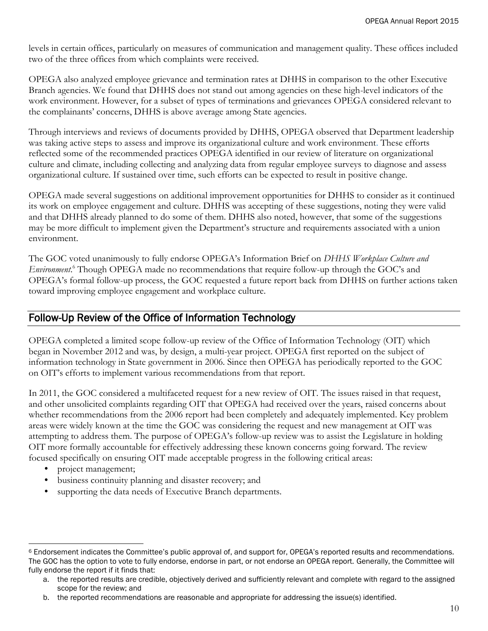levels in certain offices, particularly on measures of communication and management quality. These offices included two of the three offices from which complaints were received.

OPEGA also analyzed employee grievance and termination rates at DHHS in comparison to the other Executive Branch agencies. We found that DHHS does not stand out among agencies on these high-level indicators of the work environment. However, for a subset of types of terminations and grievances OPEGA considered relevant to the complainants' concerns, DHHS is above average among State agencies.

Through interviews and reviews of documents provided by DHHS, OPEGA observed that Department leadership was taking active steps to assess and improve its organizational culture and work environment. These efforts reflected some of the recommended practices OPEGA identified in our review of literature on organizational culture and climate, including collecting and analyzing data from regular employee surveys to diagnose and assess organizational culture. If sustained over time, such efforts can be expected to result in positive change.

OPEGA made several suggestions on additional improvement opportunities for DHHS to consider as it continued its work on employee engagement and culture. DHHS was accepting of these suggestions, noting they were valid and that DHHS already planned to do some of them. DHHS also noted, however, that some of the suggestions may be more difficult to implement given the Department's structure and requirements associated with a union environment.

The GOC voted unanimously to fully endorse OPEGA's Information Brief on *DHHS Workplace Culture and Environment*. <sup>6</sup> Though OPEGA made no recommendations that require follow-up through the GOC's and OPEGA's formal follow-up process, the GOC requested a future report back from DHHS on further actions taken toward improving employee engagement and workplace culture.

#### Follow-Up Review of the Office of Information Technology

OPEGA completed a limited scope follow-up review of the Office of Information Technology (OIT) which began in November 2012 and was, by design, a multi-year project. OPEGA first reported on the subject of information technology in State government in 2006. Since then OPEGA has periodically reported to the GOC on OIT's efforts to implement various recommendations from that report.

In 2011, the GOC considered a multifaceted request for a new review of OIT. The issues raised in that request, and other unsolicited complaints regarding OIT that OPEGA had received over the years, raised concerns about whether recommendations from the 2006 report had been completely and adequately implemented. Key problem areas were widely known at the time the GOC was considering the request and new management at OIT was attempting to address them. The purpose of OPEGA's follow-up review was to assist the Legislature in holding OIT more formally accountable for effectively addressing these known concerns going forward. The review focused specifically on ensuring OIT made acceptable progress in the following critical areas:

- project management;
- business continuity planning and disaster recovery; and
- supporting the data needs of Executive Branch departments.

 $\overline{a}$ <sup>6</sup> Endorsement indicates the Committee's public approval of, and support for, OPEGA's reported results and recommendations. The GOC has the option to vote to fully endorse, endorse in part, or not endorse an OPEGA report. Generally, the Committee will fully endorse the report if it finds that:

a. the reported results are credible, objectively derived and sufficiently relevant and complete with regard to the assigned scope for the review; and

b. the reported recommendations are reasonable and appropriate for addressing the issue(s) identified.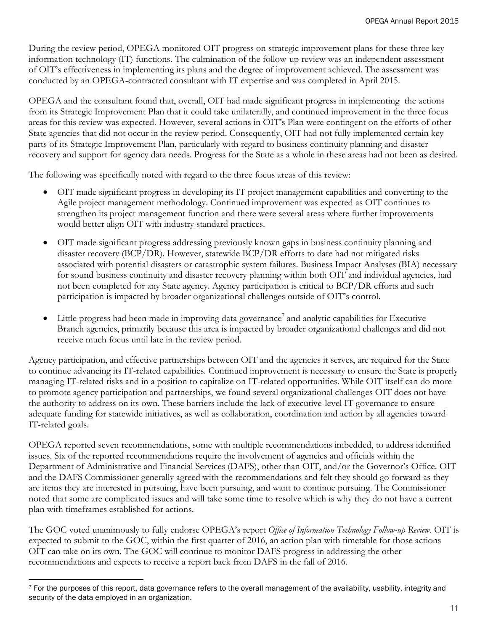During the review period, OPEGA monitored OIT progress on strategic improvement plans for these three key information technology (IT) functions. The culmination of the follow-up review was an independent assessment of OIT's effectiveness in implementing its plans and the degree of improvement achieved. The assessment was conducted by an OPEGA-contracted consultant with IT expertise and was completed in April 2015.

OPEGA and the consultant found that, overall, OIT had made significant progress in implementing the actions from its Strategic Improvement Plan that it could take unilaterally, and continued improvement in the three focus areas for this review was expected. However, several actions in OIT's Plan were contingent on the efforts of other State agencies that did not occur in the review period. Consequently, OIT had not fully implemented certain key parts of its Strategic Improvement Plan, particularly with regard to business continuity planning and disaster recovery and support for agency data needs. Progress for the State as a whole in these areas had not been as desired.

The following was specifically noted with regard to the three focus areas of this review:

- OIT made significant progress in developing its IT project management capabilities and converting to the Agile project management methodology. Continued improvement was expected as OIT continues to strengthen its project management function and there were several areas where further improvements would better align OIT with industry standard practices.
- OIT made significant progress addressing previously known gaps in business continuity planning and disaster recovery (BCP/DR). However, statewide BCP/DR efforts to date had not mitigated risks associated with potential disasters or catastrophic system failures. Business Impact Analyses (BIA) necessary for sound business continuity and disaster recovery planning within both OIT and individual agencies, had not been completed for any State agency. Agency participation is critical to BCP/DR efforts and such participation is impacted by broader organizational challenges outside of OIT's control.
- $\bullet$  Little progress had been made in improving data governance<sup>7</sup> and analytic capabilities for Executive Branch agencies, primarily because this area is impacted by broader organizational challenges and did not receive much focus until late in the review period.

Agency participation, and effective partnerships between OIT and the agencies it serves, are required for the State to continue advancing its IT-related capabilities. Continued improvement is necessary to ensure the State is properly managing IT-related risks and in a position to capitalize on IT-related opportunities. While OIT itself can do more to promote agency participation and partnerships, we found several organizational challenges OIT does not have the authority to address on its own. These barriers include the lack of executive-level IT governance to ensure adequate funding for statewide initiatives, as well as collaboration, coordination and action by all agencies toward IT-related goals.

OPEGA reported seven recommendations, some with multiple recommendations imbedded, to address identified issues. Six of the reported recommendations require the involvement of agencies and officials within the Department of Administrative and Financial Services (DAFS), other than OIT, and/or the Governor's Office. OIT and the DAFS Commissioner generally agreed with the recommendations and felt they should go forward as they are items they are interested in pursuing, have been pursuing, and want to continue pursuing. The Commissioner noted that some are complicated issues and will take some time to resolve which is why they do not have a current plan with timeframes established for actions.

The GOC voted unanimously to fully endorse OPEGA's report *Office of Information Technology Follow-up Review*. OIT is expected to submit to the GOC, within the first quarter of 2016, an action plan with timetable for those actions OIT can take on its own. The GOC will continue to monitor DAFS progress in addressing the other recommendations and expects to receive a report back from DAFS in the fall of 2016.

 $\overline{a}$ 

 $7$  For the purposes of this report, data governance refers to the overall management of the availability, usability, integrity and security of the data employed in an organization.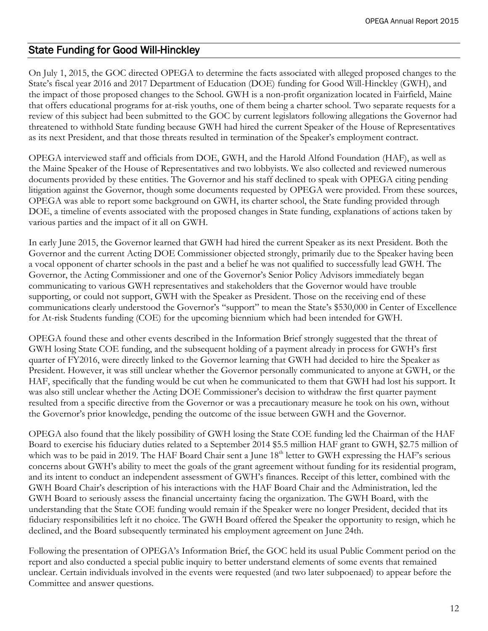#### State Funding for Good Will-Hinckley

On July 1, 2015, the GOC directed OPEGA to determine the facts associated with alleged proposed changes to the State's fiscal year 2016 and 2017 Department of Education (DOE) funding for Good Will-Hinckley (GWH), and the impact of those proposed changes to the School. GWH is a non-profit organization located in Fairfield, Maine that offers educational programs for at-risk youths, one of them being a charter school. Two separate requests for a review of this subject had been submitted to the GOC by current legislators following allegations the Governor had threatened to withhold State funding because GWH had hired the current Speaker of the House of Representatives as its next President, and that those threats resulted in termination of the Speaker's employment contract.

OPEGA interviewed staff and officials from DOE, GWH, and the Harold Alfond Foundation (HAF), as well as the Maine Speaker of the House of Representatives and two lobbyists. We also collected and reviewed numerous documents provided by these entities. The Governor and his staff declined to speak with OPEGA citing pending litigation against the Governor, though some documents requested by OPEGA were provided. From these sources, OPEGA was able to report some background on GWH, its charter school, the State funding provided through DOE, a timeline of events associated with the proposed changes in State funding, explanations of actions taken by various parties and the impact of it all on GWH.

In early June 2015, the Governor learned that GWH had hired the current Speaker as its next President. Both the Governor and the current Acting DOE Commissioner objected strongly, primarily due to the Speaker having been a vocal opponent of charter schools in the past and a belief he was not qualified to successfully lead GWH. The Governor, the Acting Commissioner and one of the Governor's Senior Policy Advisors immediately began communicating to various GWH representatives and stakeholders that the Governor would have trouble supporting, or could not support, GWH with the Speaker as President. Those on the receiving end of these communications clearly understood the Governor's "support" to mean the State's \$530,000 in Center of Excellence for At-risk Students funding (COE) for the upcoming biennium which had been intended for GWH.

OPEGA found these and other events described in the Information Brief strongly suggested that the threat of GWH losing State COE funding, and the subsequent holding of a payment already in process for GWH's first quarter of FY2016, were directly linked to the Governor learning that GWH had decided to hire the Speaker as President. However, it was still unclear whether the Governor personally communicated to anyone at GWH, or the HAF, specifically that the funding would be cut when he communicated to them that GWH had lost his support. It was also still unclear whether the Acting DOE Commissioner's decision to withdraw the first quarter payment resulted from a specific directive from the Governor or was a precautionary measure he took on his own, without the Governor's prior knowledge, pending the outcome of the issue between GWH and the Governor.

OPEGA also found that the likely possibility of GWH losing the State COE funding led the Chairman of the HAF Board to exercise his fiduciary duties related to a September 2014 \$5.5 million HAF grant to GWH, \$2.75 million of which was to be paid in 2019. The HAF Board Chair sent a June 18<sup>th</sup> letter to GWH expressing the HAF's serious concerns about GWH's ability to meet the goals of the grant agreement without funding for its residential program, and its intent to conduct an independent assessment of GWH's finances. Receipt of this letter, combined with the GWH Board Chair's description of his interactions with the HAF Board Chair and the Administration, led the GWH Board to seriously assess the financial uncertainty facing the organization. The GWH Board, with the understanding that the State COE funding would remain if the Speaker were no longer President, decided that its fiduciary responsibilities left it no choice. The GWH Board offered the Speaker the opportunity to resign, which he declined, and the Board subsequently terminated his employment agreement on June 24th.

Following the presentation of OPEGA's Information Brief, the GOC held its usual Public Comment period on the report and also conducted a special public inquiry to better understand elements of some events that remained unclear. Certain individuals involved in the events were requested (and two later subpoenaed) to appear before the Committee and answer questions.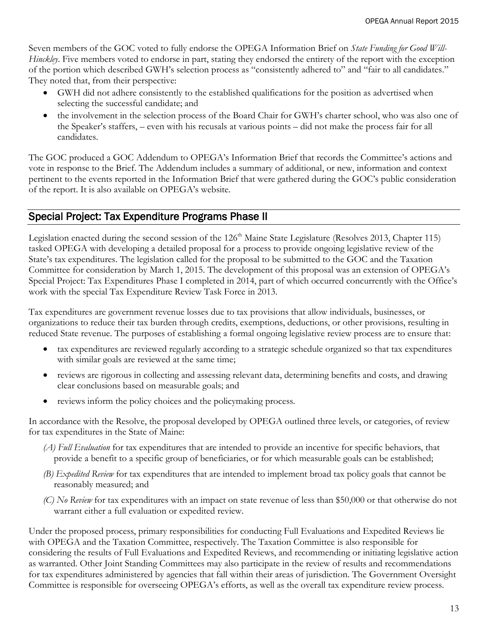Seven members of the GOC voted to fully endorse the OPEGA Information Brief on *State Funding for Good Will-Hinckley*. Five members voted to endorse in part, stating they endorsed the entirety of the report with the exception of the portion which described GWH's selection process as "consistently adhered to" and "fair to all candidates." They noted that, from their perspective:

- GWH did not adhere consistently to the established qualifications for the position as advertised when selecting the successful candidate; and
- the involvement in the selection process of the Board Chair for GWH's charter school, who was also one of the Speaker's staffers, – even with his recusals at various points – did not make the process fair for all candidates.

The GOC produced a GOC Addendum to OPEGA's Information Brief that records the Committee's actions and vote in response to the Brief. The Addendum includes a summary of additional, or new, information and context pertinent to the events reported in the Information Brief that were gathered during the GOC's public consideration of the report. It is also available on OPEGA's website.

#### Special Project: Tax Expenditure Programs Phase II

Legislation enacted during the second session of the  $126<sup>th</sup>$  Maine State Legislature (Resolves 2013, Chapter 115) tasked OPEGA with developing a detailed proposal for a process to provide ongoing legislative review of the State's tax expenditures. The legislation called for the proposal to be submitted to the GOC and the Taxation Committee for consideration by March 1, 2015. The development of this proposal was an extension of OPEGA's Special Project: Tax Expenditures Phase I completed in 2014, part of which occurred concurrently with the Office's work with the special Tax Expenditure Review Task Force in 2013.

Tax expenditures are government revenue losses due to tax provisions that allow individuals, businesses, or organizations to reduce their tax burden through credits, exemptions, deductions, or other provisions, resulting in reduced State revenue. The purposes of establishing a formal ongoing legislative review process are to ensure that:

- tax expenditures are reviewed regularly according to a strategic schedule organized so that tax expenditures with similar goals are reviewed at the same time;
- reviews are rigorous in collecting and assessing relevant data, determining benefits and costs, and drawing clear conclusions based on measurable goals; and
- reviews inform the policy choices and the policymaking process.

In accordance with the Resolve, the proposal developed by OPEGA outlined three levels, or categories, of review for tax expenditures in the State of Maine:

- *(A) Full Evaluation* for tax expenditures that are intended to provide an incentive for specific behaviors, that provide a benefit to a specific group of beneficiaries, or for which measurable goals can be established;
- *(B) Expedited Review* for tax expenditures that are intended to implement broad tax policy goals that cannot be reasonably measured; and
- *(C) No Review* for tax expenditures with an impact on state revenue of less than \$50,000 or that otherwise do not warrant either a full evaluation or expedited review.

Under the proposed process, primary responsibilities for conducting Full Evaluations and Expedited Reviews lie with OPEGA and the Taxation Committee, respectively. The Taxation Committee is also responsible for considering the results of Full Evaluations and Expedited Reviews, and recommending or initiating legislative action as warranted. Other Joint Standing Committees may also participate in the review of results and recommendations for tax expenditures administered by agencies that fall within their areas of jurisdiction. The Government Oversight Committee is responsible for overseeing OPEGA's efforts, as well as the overall tax expenditure review process.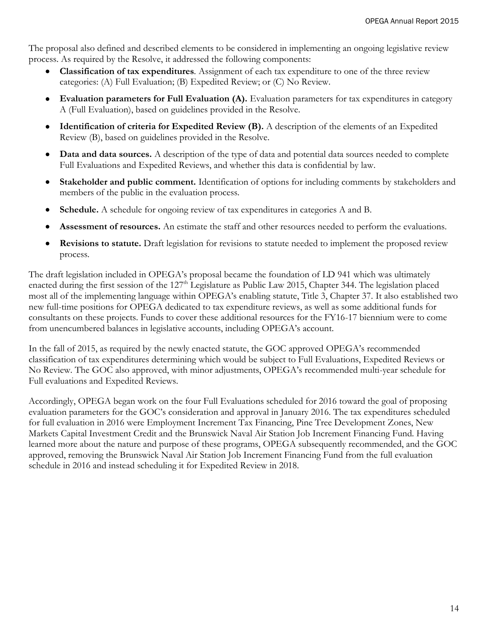The proposal also defined and described elements to be considered in implementing an ongoing legislative review process. As required by the Resolve, it addressed the following components:

- **Classification of tax expenditures***.* Assignment of each tax expenditure to one of the three review categories: (A) Full Evaluation; (B) Expedited Review; or (C) No Review.
- **Evaluation parameters for Full Evaluation (A).** Evaluation parameters for tax expenditures in category A (Full Evaluation), based on guidelines provided in the Resolve.
- **Identification of criteria for Expedited Review (B).** A description of the elements of an Expedited Review (B), based on guidelines provided in the Resolve.
- **Data and data sources.** A description of the type of data and potential data sources needed to complete Full Evaluations and Expedited Reviews, and whether this data is confidential by law.
- **Stakeholder and public comment.** Identification of options for including comments by stakeholders and members of the public in the evaluation process.
- **Schedule.** A schedule for ongoing review of tax expenditures in categories A and B.
- **Assessment of resources.** An estimate the staff and other resources needed to perform the evaluations.
- **Revisions to statute.** Draft legislation for revisions to statute needed to implement the proposed review process.

The draft legislation included in OPEGA's proposal became the foundation of LD 941 which was ultimately enacted during the first session of the 127<sup>th</sup> Legislature as Public Law 2015, Chapter 344. The legislation placed most all of the implementing language within OPEGA's enabling statute, Title 3, Chapter 37. It also established two new full-time positions for OPEGA dedicated to tax expenditure reviews, as well as some additional funds for consultants on these projects. Funds to cover these additional resources for the FY16-17 biennium were to come from unencumbered balances in legislative accounts, including OPEGA's account.

In the fall of 2015, as required by the newly enacted statute, the GOC approved OPEGA's recommended classification of tax expenditures determining which would be subject to Full Evaluations, Expedited Reviews or No Review. The GOC also approved, with minor adjustments, OPEGA's recommended multi-year schedule for Full evaluations and Expedited Reviews.

Accordingly, OPEGA began work on the four Full Evaluations scheduled for 2016 toward the goal of proposing evaluation parameters for the GOC's consideration and approval in January 2016. The tax expenditures scheduled for full evaluation in 2016 were Employment Increment Tax Financing, Pine Tree Development Zones, New Markets Capital Investment Credit and the Brunswick Naval Air Station Job Increment Financing Fund. Having learned more about the nature and purpose of these programs, OPEGA subsequently recommended, and the GOC approved, removing the Brunswick Naval Air Station Job Increment Financing Fund from the full evaluation schedule in 2016 and instead scheduling it for Expedited Review in 2018.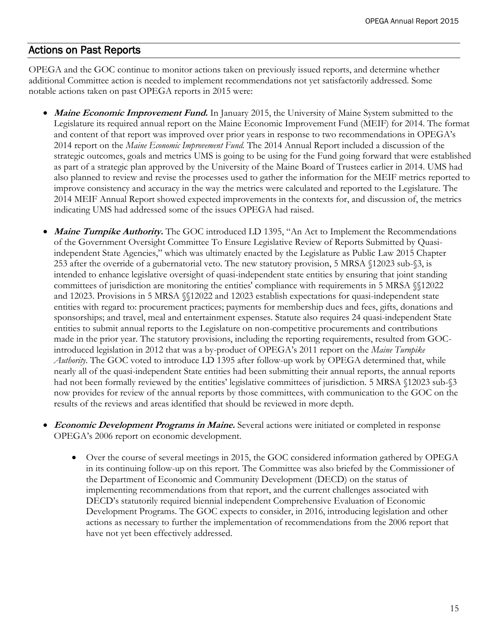#### Actions on Past Reports

OPEGA and the GOC continue to monitor actions taken on previously issued reports, and determine whether additional Committee action is needed to implement recommendations not yet satisfactorily addressed. Some notable actions taken on past OPEGA reports in 2015 were:

- **Maine Economic Improvement Fund.** In January 2015, the University of Maine System submitted to the Legislature its required annual report on the Maine Economic Improvement Fund (MEIF) for 2014. The format and content of that report was improved over prior years in response to two recommendations in OPEGA's 2014 report on the *Maine Economic Improvement Fund.* The 2014 Annual Report included a discussion of the strategic outcomes, goals and metrics UMS is going to be using for the Fund going forward that were established as part of a strategic plan approved by the University of the Maine Board of Trustees earlier in 2014. UMS had also planned to review and revise the processes used to gather the information for the MEIF metrics reported to improve consistency and accuracy in the way the metrics were calculated and reported to the Legislature. The 2014 MEIF Annual Report showed expected improvements in the contexts for, and discussion of, the metrics indicating UMS had addressed some of the issues OPEGA had raised.
- **Maine Turnpike Authority.** The GOC introduced LD 1395, "An Act to Implement the Recommendations of the Government Oversight Committee To Ensure Legislative Review of Reports Submitted by Quasiindependent State Agencies," which was ultimately enacted by the Legislature as Public Law 2015 Chapter 253 after the override of a gubernatorial veto. The new statutory provision, 5 MRSA §12023 sub-§3, is intended to enhance legislative oversight of quasi-independent state entities by ensuring that joint standing committees of jurisdiction are monitoring the entities' compliance with requirements in 5 MRSA §§12022 and 12023. Provisions in 5 MRSA §§12022 and 12023 establish expectations for quasi-independent state entities with regard to: procurement practices; payments for membership dues and fees, gifts, donations and sponsorships; and travel, meal and entertainment expenses. Statute also requires 24 quasi-independent State entities to submit annual reports to the Legislature on non-competitive procurements and contributions made in the prior year. The statutory provisions, including the reporting requirements, resulted from GOCintroduced legislation in 2012 that was a by-product of OPEGA's 2011 report on the *Maine Turnpike Authority*. The GOC voted to introduce LD 1395 after follow-up work by OPEGA determined that, while nearly all of the quasi-independent State entities had been submitting their annual reports, the annual reports had not been formally reviewed by the entities' legislative committees of jurisdiction. 5 MRSA §12023 sub-§3 now provides for review of the annual reports by those committees, with communication to the GOC on the results of the reviews and areas identified that should be reviewed in more depth.
- **Economic Development Programs in Maine.** Several actions were initiated or completed in response OPEGA's 2006 report on economic development.
	- Over the course of several meetings in 2015, the GOC considered information gathered by OPEGA in its continuing follow-up on this report. The Committee was also briefed by the Commissioner of the Department of Economic and Community Development (DECD) on the status of implementing recommendations from that report, and the current challenges associated with DECD's statutorily required biennial independent Comprehensive Evaluation of Economic Development Programs. The GOC expects to consider, in 2016, introducing legislation and other actions as necessary to further the implementation of recommendations from the 2006 report that have not yet been effectively addressed.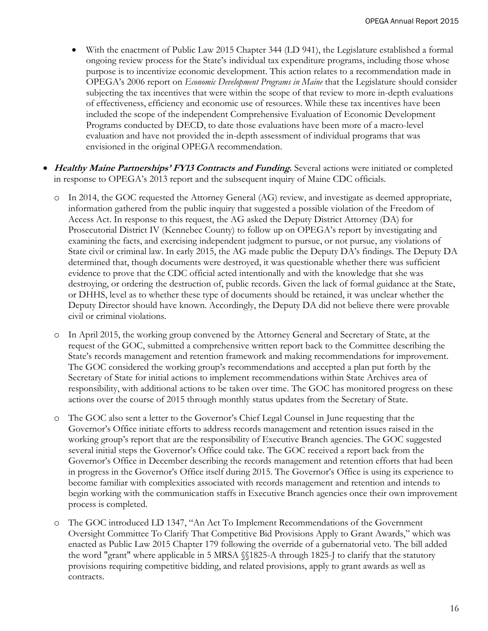- With the enactment of Public Law 2015 Chapter 344 (LD 941), the Legislature established a formal ongoing review process for the State's individual tax expenditure programs, including those whose purpose is to incentivize economic development. This action relates to a recommendation made in OPEGA's 2006 report on *Economic Development Programs in Maine* that the Legislature should consider subjecting the tax incentives that were within the scope of that review to more in-depth evaluations of effectiveness, efficiency and economic use of resources. While these tax incentives have been included the scope of the independent Comprehensive Evaluation of Economic Development Programs conducted by DECD, to date those evaluations have been more of a macro-level evaluation and have not provided the in-depth assessment of individual programs that was envisioned in the original OPEGA recommendation.
- **Healthy Maine Partnerships' FY13 Contracts and Funding.** Several actions were initiated or completed in response to OPEGA's 2013 report and the subsequent inquiry of Maine CDC officials.
	- o In 2014, the GOC requested the Attorney General (AG) review, and investigate as deemed appropriate, information gathered from the public inquiry that suggested a possible violation of the Freedom of Access Act. In response to this request, the AG asked the Deputy District Attorney (DA) for Prosecutorial District IV (Kennebec County) to follow up on OPEGA's report by investigating and examining the facts, and exercising independent judgment to pursue, or not pursue, any violations of State civil or criminal law. In early 2015, the AG made public the Deputy DA's findings. The Deputy DA determined that, though documents were destroyed, it was questionable whether there was sufficient evidence to prove that the CDC official acted intentionally and with the knowledge that she was destroying, or ordering the destruction of, public records. Given the lack of formal guidance at the State, or DHHS, level as to whether these type of documents should be retained, it was unclear whether the Deputy Director should have known. Accordingly, the Deputy DA did not believe there were provable civil or criminal violations.
	- o In April 2015, the working group convened by the Attorney General and Secretary of State, at the request of the GOC, submitted a comprehensive written report back to the Committee describing the State's records management and retention framework and making recommendations for improvement. The GOC considered the working group's recommendations and accepted a plan put forth by the Secretary of State for initial actions to implement recommendations within State Archives area of responsibility, with additional actions to be taken over time. The GOC has monitored progress on these actions over the course of 2015 through monthly status updates from the Secretary of State.
	- o The GOC also sent a letter to the Governor's Chief Legal Counsel in June requesting that the Governor's Office initiate efforts to address records management and retention issues raised in the working group's report that are the responsibility of Executive Branch agencies. The GOC suggested several initial steps the Governor's Office could take. The GOC received a report back from the Governor's Office in December describing the records management and retention efforts that had been in progress in the Governor's Office itself during 2015. The Governor's Office is using its experience to become familiar with complexities associated with records management and retention and intends to begin working with the communication staffs in Executive Branch agencies once their own improvement process is completed.
	- The GOC introduced LD 1347, "An Act To Implement Recommendations of the Government Oversight Committee To Clarify That Competitive Bid Provisions Apply to Grant Awards," which was enacted as Public Law 2015 Chapter 179 following the override of a gubernatorial veto. The bill added the word "grant" where applicable in 5 MRSA §§1825-A through 1825-J to clarify that the statutory provisions requiring competitive bidding, and related provisions, apply to grant awards as well as contracts.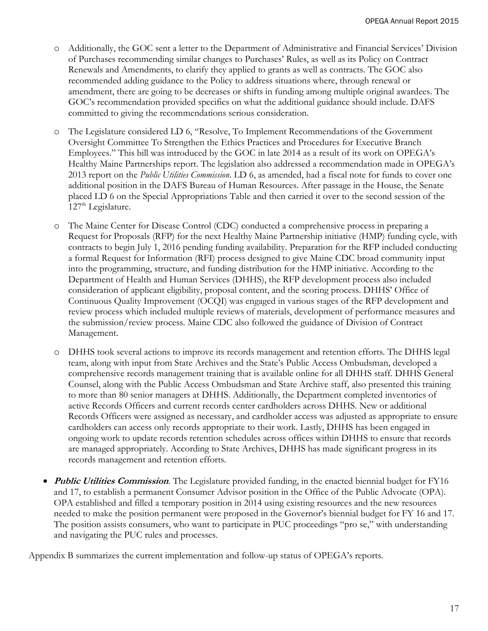- o Additionally, the GOC sent a letter to the Department of Administrative and Financial Services' Division of Purchases recommending similar changes to Purchases' Rules, as well as its Policy on Contract Renewals and Amendments, to clarify they applied to grants as well as contracts. The GOC also recommended adding guidance to the Policy to address situations where, through renewal or amendment, there are going to be decreases or shifts in funding among multiple original awardees. The GOC's recommendation provided specifics on what the additional guidance should include. DAFS committed to giving the recommendations serious consideration.
- The Legislature considered LD 6, "Resolve, To Implement Recommendations of the Government Oversight Committee To Strengthen the Ethics Practices and Procedures for Executive Branch Employees." This bill was introduced by the GOC in late 2014 as a result of its work on OPEGA's Healthy Maine Partnerships report. The legislation also addressed a recommendation made in OPEGA's 2013 report on the *Public Utilities Commission*. LD 6, as amended, had a fiscal note for funds to cover one additional position in the DAFS Bureau of Human Resources. After passage in the House, the Senate placed LD 6 on the Special Appropriations Table and then carried it over to the second session of the  $127<sup>th</sup>$  Legislature.
- o The Maine Center for Disease Control (CDC) conducted a comprehensive process in preparing a Request for Proposals (RFP) for the next Healthy Maine Partnership initiative (HMP) funding cycle, with contracts to begin July 1, 2016 pending funding availability. Preparation for the RFP included conducting a formal Request for Information (RFI) process designed to give Maine CDC broad community input into the programming, structure, and funding distribution for the HMP initiative. According to the Department of Health and Human Services (DHHS), the RFP development process also included consideration of applicant eligibility, proposal content, and the scoring process. DHHS' Office of Continuous Quality Improvement (OCQI) was engaged in various stages of the RFP development and review process which included multiple reviews of materials, development of performance measures and the submission/review process. Maine CDC also followed the guidance of Division of Contract Management.
- o DHHS took several actions to improve its records management and retention efforts. The DHHS legal team, along with input from State Archives and the State's Public Access Ombudsman, developed a comprehensive records management training that is available online for all DHHS staff. DHHS General Counsel, along with the Public Access Ombudsman and State Archive staff, also presented this training to more than 80 senior managers at DHHS. Additionally, the Department completed inventories of active Records Officers and current records center cardholders across DHHS. New or additional Records Officers were assigned as necessary, and cardholder access was adjusted as appropriate to ensure cardholders can access only records appropriate to their work. Lastly, DHHS has been engaged in ongoing work to update records retention schedules across offices within DHHS to ensure that records are managed appropriately. According to State Archives, DHHS has made significant progress in its records management and retention efforts.
- **Public Utilities Commission**. The Legislature provided funding, in the enacted biennial budget for FY16 and 17, to establish a permanent Consumer Advisor position in the Office of the Public Advocate (OPA). OPA established and filled a temporary position in 2014 using existing resources and the new resources needed to make the position permanent were proposed in the Governor's biennial budget for FY 16 and 17. The position assists consumers, who want to participate in PUC proceedings "pro se," with understanding and navigating the PUC rules and processes.

Appendix B summarizes the current implementation and follow-up status of OPEGA's reports.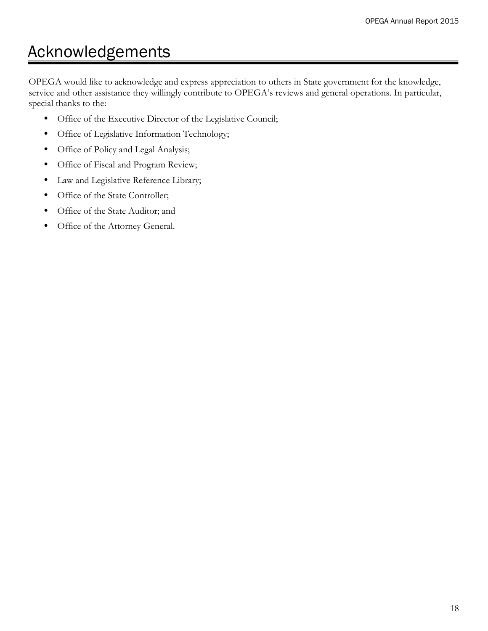# Acknowledgements

OPEGA would like to acknowledge and express appreciation to others in State government for the knowledge, service and other assistance they willingly contribute to OPEGA's reviews and general operations. In particular, special thanks to the:

- Office of the Executive Director of the Legislative Council;
- Office of Legislative Information Technology;
- Office of Policy and Legal Analysis;
- Office of Fiscal and Program Review;
- Law and Legislative Reference Library;
- Office of the State Controller;
- Office of the State Auditor; and
- Office of the Attorney General.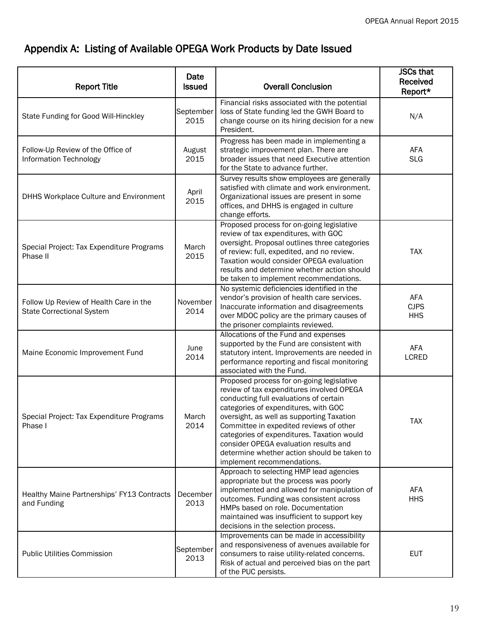# Appendix A: Listing of Available OPEGA Work Products by Date Issued

| <b>Report Title</b>                                                        | Date<br><b>Issued</b> | <b>Overall Conclusion</b>                                                                                                                                                                                                                                                                                                                                                                                                            | <b>JSCs that</b><br>Received<br>Report* |
|----------------------------------------------------------------------------|-----------------------|--------------------------------------------------------------------------------------------------------------------------------------------------------------------------------------------------------------------------------------------------------------------------------------------------------------------------------------------------------------------------------------------------------------------------------------|-----------------------------------------|
| State Funding for Good Will-Hinckley                                       | September<br>2015     | Financial risks associated with the potential<br>loss of State funding led the GWH Board to<br>change course on its hiring decision for a new<br>President.                                                                                                                                                                                                                                                                          | N/A                                     |
| Follow-Up Review of the Office of<br><b>Information Technology</b>         | August<br>2015        | Progress has been made in implementing a<br>strategic improvement plan. There are<br>broader issues that need Executive attention<br>for the State to advance further.                                                                                                                                                                                                                                                               | AFA<br><b>SLG</b>                       |
| DHHS Workplace Culture and Environment                                     | April<br>2015         | Survey results show employees are generally<br>satisfied with climate and work environment.<br>Organizational issues are present in some<br>offices, and DHHS is engaged in culture<br>change efforts.                                                                                                                                                                                                                               |                                         |
| Special Project: Tax Expenditure Programs<br>Phase II                      | March<br>2015         | Proposed process for on-going legislative<br>review of tax expenditures, with GOC<br>oversight. Proposal outlines three categories<br>of review: full, expedited, and no review.<br>Taxation would consider OPEGA evaluation<br>results and determine whether action should<br>be taken to implement recommendations.                                                                                                                | <b>TAX</b>                              |
| Follow Up Review of Health Care in the<br><b>State Correctional System</b> | November<br>2014      | No systemic deficiencies identified in the<br>vendor's provision of health care services.<br>Inaccurate information and disagreements<br>over MDOC policy are the primary causes of<br>the prisoner complaints reviewed.                                                                                                                                                                                                             | <b>AFA</b><br><b>CJPS</b><br><b>HHS</b> |
| Maine Economic Improvement Fund                                            | June<br>2014          | Allocations of the Fund and expenses<br>supported by the Fund are consistent with<br>statutory intent. Improvements are needed in<br>performance reporting and fiscal monitoring<br>associated with the Fund.                                                                                                                                                                                                                        | AFA<br><b>LCRED</b>                     |
| Special Project: Tax Expenditure Programs<br>Phase I                       | March<br>2014         | Proposed process for on-going legislative<br>review of tax expenditures involved OPEGA<br>conducting full evaluations of certain<br>categories of expenditures, with GOC<br>oversight, as well as supporting Taxation<br>Committee in expedited reviews of other<br>categories of expenditures. Taxation would<br>consider OPEGA evaluation results and<br>determine whether action should be taken to<br>implement recommendations. | <b>TAX</b>                              |
| Healthy Maine Partnerships' FY13 Contracts<br>and Funding                  | December<br>2013      | Approach to selecting HMP lead agencies<br>appropriate but the process was poorly<br>implemented and allowed for manipulation of<br>outcomes. Funding was consistent across<br>HMPs based on role. Documentation<br>maintained was insufficient to support key<br>decisions in the selection process.                                                                                                                                | <b>AFA</b><br><b>HHS</b>                |
| <b>Public Utilities Commission</b>                                         | September<br>2013     | Improvements can be made in accessibility<br>and responsiveness of avenues available for<br>consumers to raise utility-related concerns.<br>Risk of actual and perceived bias on the part<br>of the PUC persists.                                                                                                                                                                                                                    | <b>EUT</b>                              |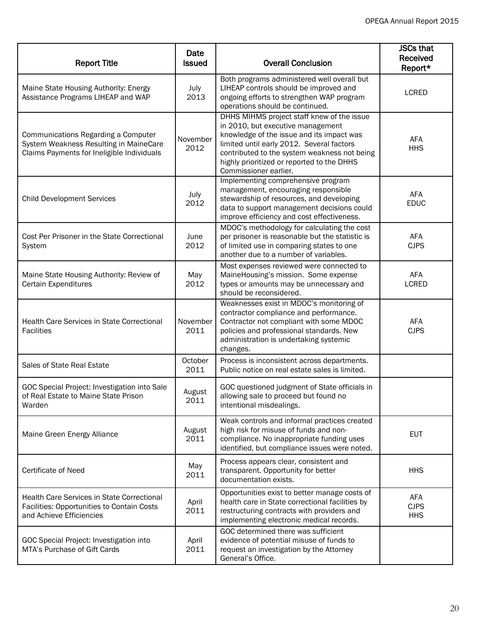| <b>Report Title</b>                                                                                                         | Date<br><b>Issued</b> | <b>Overall Conclusion</b>                                                                                                                                                                                                                                                                        | <b>JSCs that</b><br><b>Received</b><br>Report* |
|-----------------------------------------------------------------------------------------------------------------------------|-----------------------|--------------------------------------------------------------------------------------------------------------------------------------------------------------------------------------------------------------------------------------------------------------------------------------------------|------------------------------------------------|
| Maine State Housing Authority: Energy<br>Assistance Programs LIHEAP and WAP                                                 | July<br>2013          | Both programs administered well overall but<br>LIHEAP controls should be improved and<br>ongoing efforts to strengthen WAP program<br>operations should be continued.                                                                                                                            | <b>LCRED</b>                                   |
| Communications Regarding a Computer<br>System Weakness Resulting in MaineCare<br>Claims Payments for Ineligible Individuals | November<br>2012      | DHHS MIHMS project staff knew of the issue<br>in 2010, but executive management<br>knowledge of the issue and its impact was<br>limited until early 2012. Several factors<br>contributed to the system weakness not being<br>highly prioritized or reported to the DHHS<br>Commissioner earlier. | <b>AFA</b><br><b>HHS</b>                       |
| <b>Child Development Services</b>                                                                                           | July<br>2012          | Implementing comprehensive program<br>management, encouraging responsible<br>stewardship of resources, and developing<br>data to support management decisions could<br>improve efficiency and cost effectiveness.                                                                                | <b>AFA</b><br><b>EDUC</b>                      |
| Cost Per Prisoner in the State Correctional<br>System                                                                       | June<br>2012          | MDOC's methodology for calculating the cost<br>per prisoner is reasonable but the statistic is<br>of limited use in comparing states to one<br>another due to a number of variables.                                                                                                             | AFA<br><b>CJPS</b>                             |
| Maine State Housing Authority: Review of<br>Certain Expenditures                                                            | May<br>2012           | Most expenses reviewed were connected to<br>MaineHousing's mission. Some expense<br>types or amounts may be unnecessary and<br>should be reconsidered.                                                                                                                                           | AFA<br><b>LCRED</b>                            |
| Health Care Services in State Correctional<br><b>Facilities</b>                                                             | November<br>2011      | Weaknesses exist in MDOC's monitoring of<br>contractor compliance and performance.<br>Contractor not compliant with some MDOC<br>policies and professional standards. New<br>administration is undertaking systemic<br>changes.                                                                  | AFA<br><b>CJPS</b>                             |
| Sales of State Real Estate                                                                                                  | October<br>2011       | Process is inconsistent across departments.<br>Public notice on real estate sales is limited.                                                                                                                                                                                                    |                                                |
| GOC Special Project: Investigation into Sale<br>of Real Estate to Maine State Prison<br>Warden                              | August<br>2011        | GOC questioned judgment of State officials in<br>allowing sale to proceed but found no<br>intentional misdealings.                                                                                                                                                                               |                                                |
| Maine Green Energy Alliance                                                                                                 | August<br>2011        | Weak controls and informal practices created<br>high risk for misuse of funds and non-<br>compliance. No inappropriate funding uses<br>identified, but compliance issues were noted.                                                                                                             | <b>EUT</b>                                     |
| Certificate of Need                                                                                                         | May<br>2011           | Process appears clear, consistent and<br>transparent. Opportunity for better<br>documentation exists.                                                                                                                                                                                            | <b>HHS</b>                                     |
| <b>Health Care Services in State Correctional</b><br>Facilities: Opportunities to Contain Costs<br>and Achieve Efficiencies | April<br>2011         | Opportunities exist to better manage costs of<br>health care in State correctional facilities by<br>restructuring contracts with providers and<br>implementing electronic medical records.                                                                                                       | AFA<br><b>CJPS</b><br><b>HHS</b>               |
| GOC Special Project: Investigation into<br>MTA's Purchase of Gift Cards                                                     | April<br>2011         | GOC determined there was sufficient<br>evidence of potential misuse of funds to<br>request an investigation by the Attorney<br>General's Office.                                                                                                                                                 |                                                |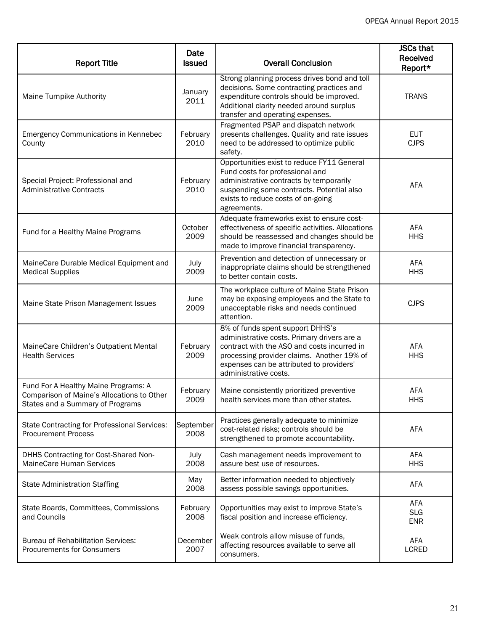| <b>Report Title</b>                                                                                                    | Date<br><b>Issued</b> | <b>Overall Conclusion</b>                                                                                                                                                                                                                         | <b>JSCs that</b><br>Received<br>Report* |
|------------------------------------------------------------------------------------------------------------------------|-----------------------|---------------------------------------------------------------------------------------------------------------------------------------------------------------------------------------------------------------------------------------------------|-----------------------------------------|
| Maine Turnpike Authority                                                                                               | January<br>2011       | Strong planning process drives bond and toll<br>decisions. Some contracting practices and<br>expenditure controls should be improved.<br>Additional clarity needed around surplus<br>transfer and operating expenses.                             | <b>TRANS</b>                            |
| <b>Emergency Communications in Kennebec</b><br>County                                                                  | February<br>2010      | Fragmented PSAP and dispatch network<br>presents challenges. Quality and rate issues<br>need to be addressed to optimize public<br>safety.                                                                                                        | <b>EUT</b><br><b>CJPS</b>               |
| Special Project: Professional and<br><b>Administrative Contracts</b>                                                   | February<br>2010      | Opportunities exist to reduce FY11 General<br>Fund costs for professional and<br>administrative contracts by temporarily<br>suspending some contracts. Potential also<br>exists to reduce costs of on-going<br>agreements.                        | AFA                                     |
| Fund for a Healthy Maine Programs                                                                                      | October<br>2009       | Adequate frameworks exist to ensure cost-<br>effectiveness of specific activities. Allocations<br>should be reassessed and changes should be<br>made to improve financial transparency.                                                           | <b>AFA</b><br><b>HHS</b>                |
| MaineCare Durable Medical Equipment and<br><b>Medical Supplies</b>                                                     | July<br>2009          | Prevention and detection of unnecessary or<br>inappropriate claims should be strengthened<br>to better contain costs.                                                                                                                             | <b>AFA</b><br><b>HHS</b>                |
| Maine State Prison Management Issues                                                                                   | June<br>2009          | The workplace culture of Maine State Prison<br>may be exposing employees and the State to<br>unacceptable risks and needs continued<br>attention.                                                                                                 | <b>CJPS</b>                             |
| MaineCare Children's Outpatient Mental<br><b>Health Services</b>                                                       | February<br>2009      | 8% of funds spent support DHHS's<br>administrative costs. Primary drivers are a<br>contract with the ASO and costs incurred in<br>processing provider claims. Another 19% of<br>expenses can be attributed to providers'<br>administrative costs. | <b>AFA</b><br><b>HHS</b>                |
| Fund For A Healthy Maine Programs: A<br>Comparison of Maine's Allocations to Other<br>States and a Summary of Programs | February<br>2009      | Maine consistently prioritized preventive<br>health services more than other states.                                                                                                                                                              | <b>AFA</b><br><b>HHS</b>                |
| <b>State Contracting for Professional Services:</b><br><b>Procurement Process</b>                                      | September<br>2008     | Practices generally adequate to minimize<br>cost-related risks; controls should be<br>strengthened to promote accountability.                                                                                                                     | <b>AFA</b>                              |
| DHHS Contracting for Cost-Shared Non-<br>MaineCare Human Services                                                      | July<br>2008          | Cash management needs improvement to<br>assure best use of resources.                                                                                                                                                                             | AFA<br><b>HHS</b>                       |
| <b>State Administration Staffing</b>                                                                                   | May<br>2008           | Better information needed to objectively<br>assess possible savings opportunities.                                                                                                                                                                | AFA                                     |
| State Boards, Committees, Commissions<br>and Councils                                                                  | February<br>2008      | Opportunities may exist to improve State's<br>fiscal position and increase efficiency.                                                                                                                                                            | AFA<br><b>SLG</b><br><b>ENR</b>         |
| <b>Bureau of Rehabilitation Services:</b><br><b>Procurements for Consumers</b>                                         | December<br>2007      | Weak controls allow misuse of funds,<br>affecting resources available to serve all<br>consumers.                                                                                                                                                  | AFA<br>LCRED                            |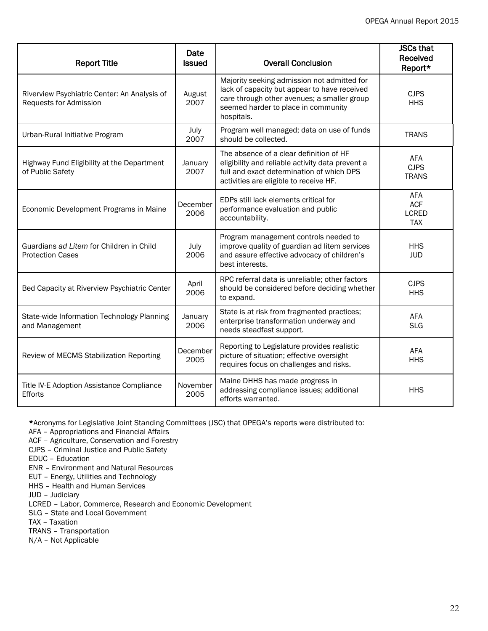| <b>Report Title</b>                                                    | Date<br><b>Issued</b> | <b>Overall Conclusion</b>                                                                                                                                                                       | <b>JSCs that</b><br><b>Received</b><br>Report*         |
|------------------------------------------------------------------------|-----------------------|-------------------------------------------------------------------------------------------------------------------------------------------------------------------------------------------------|--------------------------------------------------------|
| Riverview Psychiatric Center: An Analysis of<br>Requests for Admission | August<br>2007        | Majority seeking admission not admitted for<br>lack of capacity but appear to have received<br>care through other avenues; a smaller group<br>seemed harder to place in community<br>hospitals. | <b>CJPS</b><br><b>HHS</b>                              |
| Urban-Rural Initiative Program                                         | July<br>2007          | Program well managed; data on use of funds<br>should be collected.                                                                                                                              | <b>TRANS</b>                                           |
| Highway Fund Eligibility at the Department<br>of Public Safety         | January<br>2007       | The absence of a clear definition of HF<br>eligibility and reliable activity data prevent a<br>full and exact determination of which DPS<br>activities are eligible to receive HF.              | AFA<br><b>CJPS</b><br><b>TRANS</b>                     |
| Economic Development Programs in Maine                                 | December<br>2006      | EDPs still lack elements critical for<br>performance evaluation and public<br>accountability.                                                                                                   | <b>AFA</b><br><b>ACF</b><br><b>LCRED</b><br><b>TAX</b> |
| Guardians ad Litem for Children in Child<br><b>Protection Cases</b>    | July<br>2006          | Program management controls needed to<br>improve quality of guardian ad litem services<br>and assure effective advocacy of children's<br>best interests.                                        | <b>HHS</b><br><b>JUD</b>                               |
| Bed Capacity at Riverview Psychiatric Center                           | April<br>2006         | RPC referral data is unreliable; other factors<br>should be considered before deciding whether<br>to expand.                                                                                    | <b>CJPS</b><br><b>HHS</b>                              |
| State-wide Information Technology Planning<br>and Management           | January<br>2006       | State is at risk from fragmented practices;<br>enterprise transformation underway and<br>needs steadfast support.                                                                               | <b>AFA</b><br><b>SLG</b>                               |
| Review of MECMS Stabilization Reporting                                | December<br>2005      | Reporting to Legislature provides realistic<br>picture of situation; effective oversight<br>requires focus on challenges and risks.                                                             | <b>AFA</b><br><b>HHS</b>                               |
| Title IV-E Adoption Assistance Compliance<br>Efforts                   | November<br>2005      | Maine DHHS has made progress in<br>addressing compliance issues; additional<br>efforts warranted.                                                                                               | <b>HHS</b>                                             |

\*Acronyms for Legislative Joint Standing Committees (JSC) that OPEGA's reports were distributed to:

AFA – Appropriations and Financial Affairs

ACF – Agriculture, Conservation and Forestry

CJPS – Criminal Justice and Public Safety

EDUC – Education

ENR – Environment and Natural Resources

EUT – Energy, Utilities and Technology

HHS – Health and Human Services

JUD – Judiciary

LCRED – Labor, Commerce, Research and Economic Development

SLG – State and Local Government

TAX – Taxation

TRANS – Transportation

N/A – Not Applicable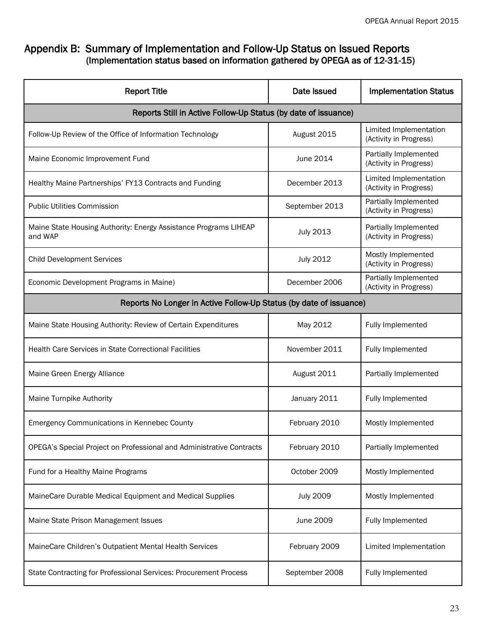#### Appendix B: Summary of Implementation and Follow-Up Status on Issued Reports (Implementation status based on information gathered by OPEGA as of 12-31-15)

| <b>Report Title</b>                                                         | Date Issued      | <b>Implementation Status</b>                     |  |  |  |
|-----------------------------------------------------------------------------|------------------|--------------------------------------------------|--|--|--|
| Reports Still in Active Follow-Up Status (by date of issuance)              |                  |                                                  |  |  |  |
| Follow-Up Review of the Office of Information Technology                    | August 2015      | Limited Implementation<br>(Activity in Progress) |  |  |  |
| Maine Economic Improvement Fund                                             | June 2014        | Partially Implemented<br>(Activity in Progress)  |  |  |  |
| Healthy Maine Partnerships' FY13 Contracts and Funding                      | December 2013    | Limited Implementation<br>(Activity in Progress) |  |  |  |
| <b>Public Utilities Commission</b>                                          | September 2013   | Partially Implemented<br>(Activity in Progress)  |  |  |  |
| Maine State Housing Authority: Energy Assistance Programs LIHEAP<br>and WAP | <b>July 2013</b> | Partially Implemented<br>(Activity in Progress)  |  |  |  |
| <b>Child Development Services</b>                                           | <b>July 2012</b> | Mostly Implemented<br>(Activity in Progress)     |  |  |  |
| Economic Development Programs in Maine)                                     | December 2006    | Partially Implemented<br>(Activity in Progress)  |  |  |  |
| Reports No Longer in Active Follow-Up Status (by date of issuance)          |                  |                                                  |  |  |  |
| Maine State Housing Authority: Review of Certain Expenditures               | May 2012         | Fully Implemented                                |  |  |  |
| <b>Health Care Services in State Correctional Facilities</b>                | November 2011    | Fully Implemented                                |  |  |  |
| Maine Green Energy Alliance                                                 | August 2011      | Partially Implemented                            |  |  |  |
| Maine Turnpike Authority                                                    | January 2011     | Fully Implemented                                |  |  |  |
| <b>Emergency Communications in Kennebec County</b>                          | February 2010    | Mostly Implemented                               |  |  |  |
| OPEGA's Special Project on Professional and Administrative Contracts        | February 2010    | Partially Implemented                            |  |  |  |
| Fund for a Healthy Maine Programs                                           | October 2009     | Mostly Implemented                               |  |  |  |
| MaineCare Durable Medical Equipment and Medical Supplies                    | <b>July 2009</b> | Mostly Implemented                               |  |  |  |
| Maine State Prison Management Issues                                        | June 2009        | Fully Implemented                                |  |  |  |
| MaineCare Children's Outpatient Mental Health Services                      | February 2009    | Limited Implementation                           |  |  |  |
| State Contracting for Professional Services: Procurement Process            | September 2008   | Fully Implemented                                |  |  |  |